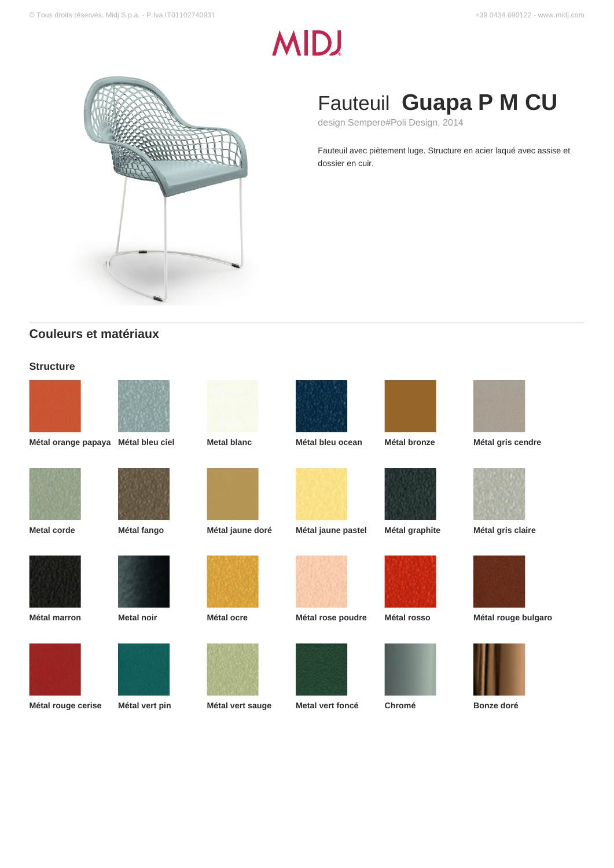# **MIDJ**



# Fauteuil **Guapa P M CU**

design Sempere#Poli Design, 2014

Fauteuil avec piètement luge. Structure en acier laqué avec assise et dossier en cuir.

# **Couleurs et matériaux**

# **Structure**





















**Métal orange papaya Métal bleu ciel Metal blanc Métal bleu ocean Métal bronze Métal gris cendre**



**Metal corde Métal fango Métal jaune doré Métal jaune pastel Métal graphite Métal gris claire**



**Métal marron Metal noir Métal ocre Métal rose poudre Métal rosso Métal rouge bulgaro**











**Métal rouge cerise Métal vert pin Métal vert sauge Metal vert foncé Chromé Bonze doré**







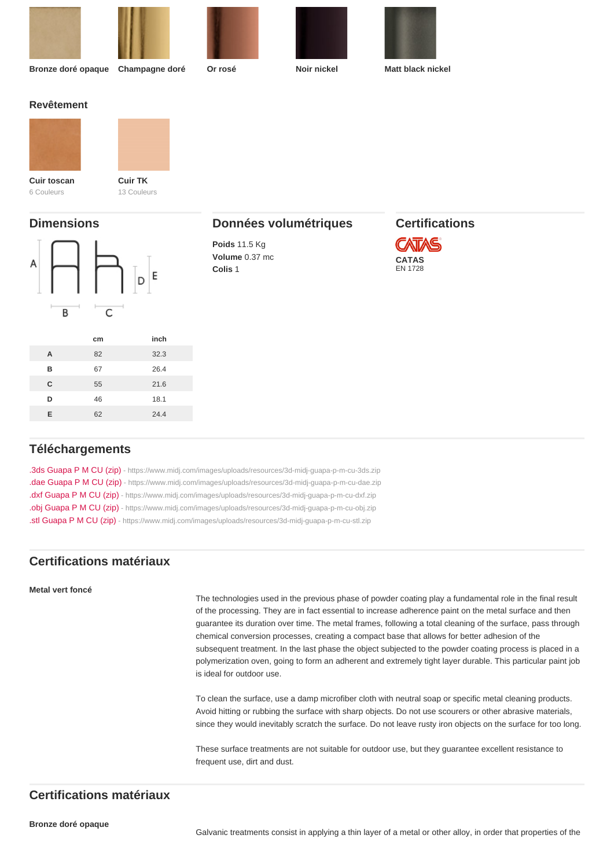| Bronze doré opaque        | Champagne doré         | Or rosé               | Noir nickel | Matt black nickel |  |
|---------------------------|------------------------|-----------------------|-------------|-------------------|--|
| Revêtement                |                        |                       |             |                   |  |
| Cuir toscan<br>6 Couleurs | Cuir TK<br>13 Couleurs |                       |             |                   |  |
| <b>Dimensions</b>         |                        | Données volumétriques |             | Certifications    |  |

# Données volumétriques

Poids 11.5 Kg Volume 0.37 mc Colis 1

# Certifications

CATAS EN 1728

|   | cm | inch |
|---|----|------|
| A | 82 | 32.3 |
| B | 67 | 26.4 |
| C | 55 | 21.6 |
| D | 46 | 18.1 |
| E | 62 | 24.4 |
|   |    |      |

# Téléchargements

[.3ds Guapa P M CU \(zip\)](https://www.midj.com/images/uploads/resources/3d-midj-guapa-p-m-cu-3ds.zip) [- https://www.midj.com/images/uploads/resources/3d-midj-guapa-p-m-cu-3ds.zip](https://www.midj.com/images/uploads/resources/3d-midj-guapa-p-m-cu-3ds.zip) [.dae Guapa P M CU \(zip\)](https://www.midj.com/images/uploads/resources/3d-midj-guapa-p-m-cu-dae.zip) [- https://www.midj.com/images/uploads/resources/3d-midj-guapa-p-m-cu-dae.zip](https://www.midj.com/images/uploads/resources/3d-midj-guapa-p-m-cu-dae.zip) [.dxf Guapa P M CU \(zip\)](https://www.midj.com/images/uploads/resources/3d-midj-guapa-p-m-cu-dxf.zip) [- https://www.midj.com/images/uploads/resources/3d-midj-guapa-p-m-cu-dxf.zip](https://www.midj.com/images/uploads/resources/3d-midj-guapa-p-m-cu-dxf.zip) [.obj Guapa P M CU \(zip\)](https://www.midj.com/images/uploads/resources/3d-midj-guapa-p-m-cu-obj.zip) [- https://www.midj.com/images/uploads/resources/3d-midj-guapa-p-m-cu-obj.zip](https://www.midj.com/images/uploads/resources/3d-midj-guapa-p-m-cu-obj.zip) [.stl Guapa P M CU \(zip\)](https://www.midj.com/images/uploads/resources/3d-midj-guapa-p-m-cu-stl.zip) [- https://www.midj.com/images/uploads/resources/3d-midj-guapa-p-m-cu-stl.zip](https://www.midj.com/images/uploads/resources/3d-midj-guapa-p-m-cu-stl.zip)

# Certifications matériaux

#### Metal vert foncé

The technologies used in the previous phase of powder coating play a fundamental role in the final result of the processing. They are in fact essential to increase adherence paint on the metal surface and then guarantee its duration over time. The metal frames, following a total cleaning of the surface, pass through chemical conversion processes, creating a compact base that allows for better adhesion of the subsequent treatment. In the last phase the object subjected to the powder coating process is placed in a polymerization oven, going to form an adherent and extremely tight layer durable. This particular paint job is ideal for outdoor use.

To clean the surface, use a damp microfiber cloth with neutral soap or specific metal cleaning products. Avoid hitting or rubbing the surface with sharp objects. Do not use scourers or other abrasive materials, since they would inevitably scratch the surface. Do not leave rusty iron objects on the surface for too long.

These surface treatments are not suitable for outdoor use, but they guarantee excellent resistance to frequent use, dirt and dust.

# Certifications matériaux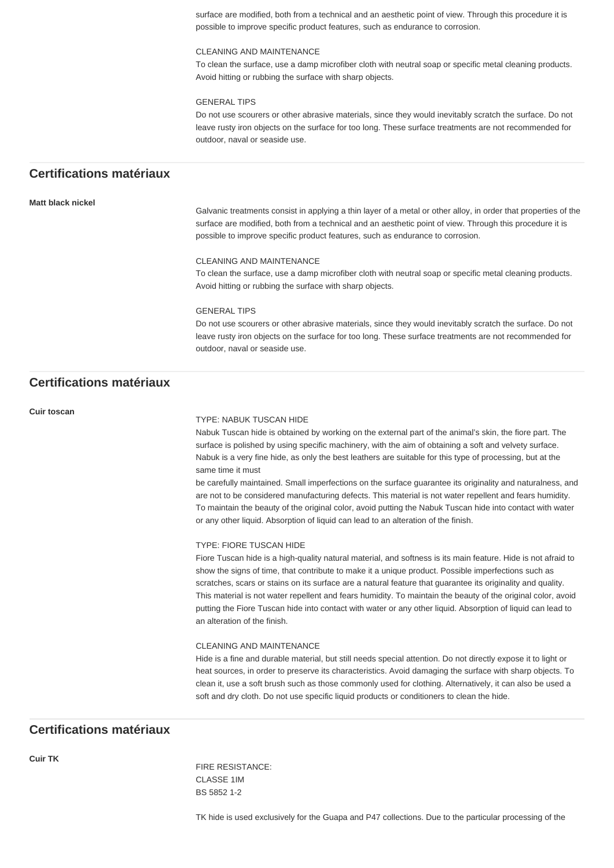surface are modified, both from a technical and an aesthetic point of view. Through this procedure it is possible to improve specific product features, such as endurance to corrosion.

#### CLEANING AND MAINTENANCE

To clean the surface, use a damp microfiber cloth with neutral soap or specific metal cleaning products. Avoid hitting or rubbing the surface with sharp objects.

#### GENERAL TIPS

Do not use scourers or other abrasive materials, since they would inevitably scratch the surface. Do not leave rusty iron objects on the surface for too long. These surface treatments are not recommended for outdoor, naval or seaside use.

# **Certifications matériaux**

#### **Matt black nickel**

Galvanic treatments consist in applying a thin layer of a metal or other alloy, in order that properties of the surface are modified, both from a technical and an aesthetic point of view. Through this procedure it is possible to improve specific product features, such as endurance to corrosion.

#### CLEANING AND MAINTENANCE

To clean the surface, use a damp microfiber cloth with neutral soap or specific metal cleaning products. Avoid hitting or rubbing the surface with sharp objects.

### GENERAL TIPS

Do not use scourers or other abrasive materials, since they would inevitably scratch the surface. Do not leave rusty iron objects on the surface for too long. These surface treatments are not recommended for outdoor, naval or seaside use.

# **Certifications matériaux**

#### **Cuir toscan**

#### TYPE: NABUK TUSCAN HIDE

Nabuk Tuscan hide is obtained by working on the external part of the animal's skin, the fiore part. The surface is polished by using specific machinery, with the aim of obtaining a soft and velvety surface. Nabuk is a very fine hide, as only the best leathers are suitable for this type of processing, but at the same time it must

be carefully maintained. Small imperfections on the surface guarantee its originality and naturalness, and are not to be considered manufacturing defects. This material is not water repellent and fears humidity. To maintain the beauty of the original color, avoid putting the Nabuk Tuscan hide into contact with water or any other liquid. Absorption of liquid can lead to an alteration of the finish.

#### TYPE: FIORE TUSCAN HIDE

Fiore Tuscan hide is a high-quality natural material, and softness is its main feature. Hide is not afraid to show the signs of time, that contribute to make it a unique product. Possible imperfections such as scratches, scars or stains on its surface are a natural feature that guarantee its originality and quality. This material is not water repellent and fears humidity. To maintain the beauty of the original color, avoid putting the Fiore Tuscan hide into contact with water or any other liquid. Absorption of liquid can lead to an alteration of the finish.

#### CLEANING AND MAINTENANCE

Hide is a fine and durable material, but still needs special attention. Do not directly expose it to light or heat sources, in order to preserve its characteristics. Avoid damaging the surface with sharp objects. To clean it, use a soft brush such as those commonly used for clothing. Alternatively, it can also be used a soft and dry cloth. Do not use specific liquid products or conditioners to clean the hide.

# **Certifications matériaux**

**Cuir TK**

FIRE RESISTANCE: CLASSE 1IM BS 5852 1-2

TK hide is used exclusively for the Guapa and P47 collections. Due to the particular processing of the